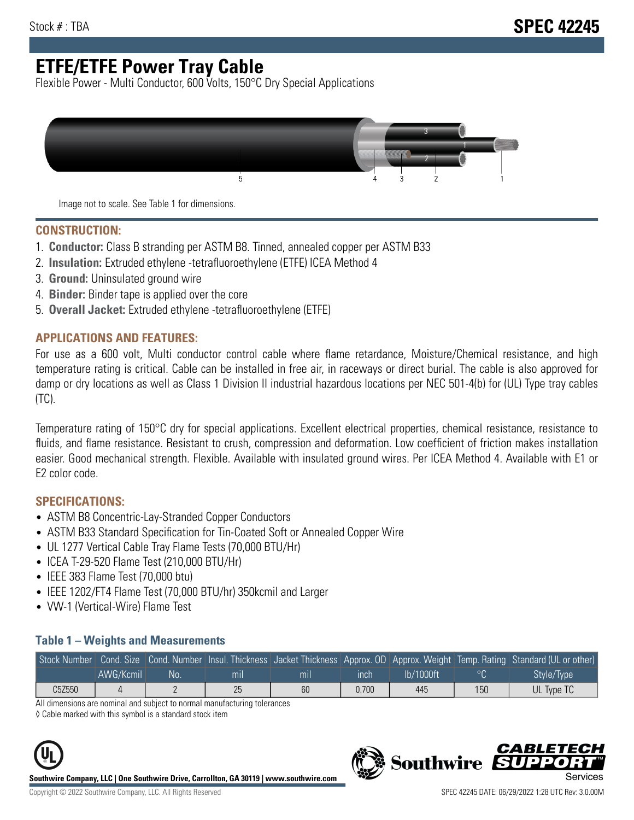# **ETFE/ETFE Power Tray Cable**

Flexible Power - Multi Conductor, 600 Volts, 150°C Dry Special Applications



Image not to scale. See Table 1 for dimensions.

#### **CONSTRUCTION:**

- 1. **Conductor:** Class B stranding per ASTM B8. Tinned, annealed copper per ASTM B33
- 2. **Insulation:** Extruded ethylene -tetrafluoroethylene (ETFE) ICEA Method 4
- 3. **Ground:** Uninsulated ground wire
- 4. **Binder:** Binder tape is applied over the core
- 5. **Overall Jacket:** Extruded ethylene -tetrafluoroethylene (ETFE)

### **APPLICATIONS AND FEATURES:**

For use as a 600 volt, Multi conductor control cable where flame retardance, Moisture/Chemical resistance, and high temperature rating is critical. Cable can be installed in free air, in raceways or direct burial. The cable is also approved for damp or dry locations as well as Class 1 Division II industrial hazardous locations per NEC 501-4(b) for (UL) Type tray cables (TC).

Temperature rating of 150°C dry for special applications. Excellent electrical properties, chemical resistance, resistance to fluids, and flame resistance. Resistant to crush, compression and deformation. Low coefficient of friction makes installation easier. Good mechanical strength. Flexible. Available with insulated ground wires. Per ICEA Method 4. Available with E1 or E2 color code.

### **SPECIFICATIONS:**

- ASTM B8 Concentric-Lay-Stranded Copper Conductors
- ASTM B33 Standard Specification for Tin-Coated Soft or Annealed Copper Wire
- UL 1277 Vertical Cable Tray Flame Tests (70,000 BTU/Hr)
- ICEA T-29-520 Flame Test (210,000 BTU/Hr)
- IEEE 383 Flame Test (70,000 btu)
- IEEE 1202/FT4 Flame Test (70,000 BTU/hr) 350kcmil and Larger
- VW-1 (Vertical-Wire) Flame Test

#### **Table 1 – Weights and Measurements**

| Stock Number |           |    |     |     |       |           |     | Cond. Size Cond. Number Insul. Thickness Jacket Thickness Approx. OD Approx. Weight Temp. Rating Standard (UL or other) |
|--------------|-----------|----|-----|-----|-------|-----------|-----|-------------------------------------------------------------------------------------------------------------------------|
|              | AWG/Kcmil | No | mıl | mil | ınch  | lb/1000ft | ം   | Style/Type                                                                                                              |
| C5Z550       |           |    | 25  | 60  | 0.700 | 445       | 150 | UL Type TC                                                                                                              |

All dimensions are nominal and subject to normal manufacturing tolerances

◊ Cable marked with this symbol is a standard stock item



**Southwire Company, LLC | One Southwire Drive, Carrollton, GA 30119 | www.southwire.com**

CARLET